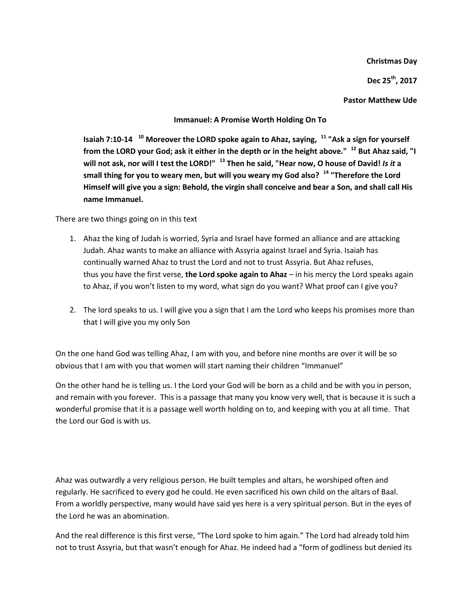**Christmas Day**

**Dec 25th, 2017**

**Pastor Matthew Ude**

### **Immanuel: A Promise Worth Holding On To**

**Isaiah 7:10-14 <sup>10</sup> Moreover the LORD spoke again to Ahaz, saying, <sup>11</sup> "Ask a sign for yourself from the LORD your God; ask it either in the depth or in the height above." <sup>12</sup> But Ahaz said, "I will not ask, nor will I test the LORD!" <sup>13</sup> Then he said, "Hear now, O house of David!** *Is it* **a small thing for you to weary men, but will you weary my God also? <sup>14</sup> "Therefore the Lord Himself will give you a sign: Behold, the virgin shall conceive and bear a Son, and shall call His name Immanuel.**

There are two things going on in this text

- 1. Ahaz the king of Judah is worried, Syria and Israel have formed an alliance and are attacking Judah. Ahaz wants to make an alliance with Assyria against Israel and Syria. Isaiah has continually warned Ahaz to trust the Lord and not to trust Assyria. But Ahaz refuses, thus you have the first verse, **the Lord spoke again to Ahaz** – in his mercy the Lord speaks again to Ahaz, if you won't listen to my word, what sign do you want? What proof can I give you?
- 2. The lord speaks to us. I will give you a sign that I am the Lord who keeps his promises more than that I will give you my only Son

On the one hand God was telling Ahaz, I am with you, and before nine months are over it will be so obvious that I am with you that women will start naming their children "Immanuel"

On the other hand he is telling us. I the Lord your God will be born as a child and be with you in person, and remain with you forever. This is a passage that many you know very well, that is because it is such a wonderful promise that it is a passage well worth holding on to, and keeping with you at all time. That the Lord our God is with us.

Ahaz was outwardly a very religious person. He built temples and altars, he worshiped often and regularly. He sacrificed to every god he could. He even sacrificed his own child on the altars of Baal. From a worldly perspective, many would have said yes here is a very spiritual person. But in the eyes of the Lord he was an abomination.

And the real difference is this first verse, "The Lord spoke to him again." The Lord had already told him not to trust Assyria, but that wasn't enough for Ahaz. He indeed had a "form of godliness but denied its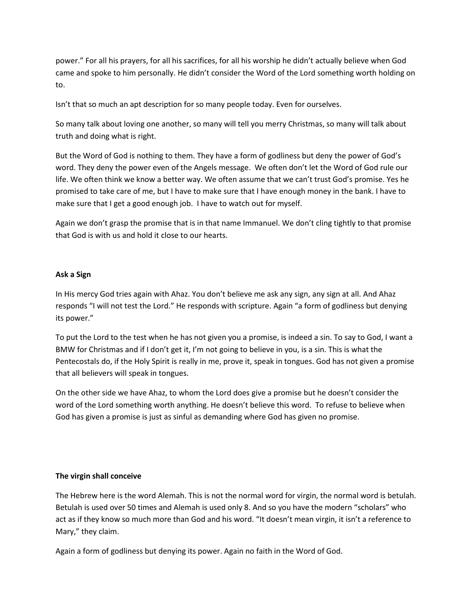power." For all his prayers, for all his sacrifices, for all his worship he didn't actually believe when God came and spoke to him personally. He didn't consider the Word of the Lord something worth holding on to.

Isn't that so much an apt description for so many people today. Even for ourselves.

So many talk about loving one another, so many will tell you merry Christmas, so many will talk about truth and doing what is right.

But the Word of God is nothing to them. They have a form of godliness but deny the power of God's word. They deny the power even of the Angels message. We often don't let the Word of God rule our life. We often think we know a better way. We often assume that we can't trust God's promise. Yes he promised to take care of me, but I have to make sure that I have enough money in the bank. I have to make sure that I get a good enough job. I have to watch out for myself.

Again we don't grasp the promise that is in that name Immanuel. We don't cling tightly to that promise that God is with us and hold it close to our hearts.

## **Ask a Sign**

In His mercy God tries again with Ahaz. You don't believe me ask any sign, any sign at all. And Ahaz responds "I will not test the Lord." He responds with scripture. Again "a form of godliness but denying its power."

To put the Lord to the test when he has not given you a promise, is indeed a sin. To say to God, I want a BMW for Christmas and if I don't get it, I'm not going to believe in you, is a sin. This is what the Pentecostals do, if the Holy Spirit is really in me, prove it, speak in tongues. God has not given a promise that all believers will speak in tongues.

On the other side we have Ahaz, to whom the Lord does give a promise but he doesn't consider the word of the Lord something worth anything. He doesn't believe this word. To refuse to believe when God has given a promise is just as sinful as demanding where God has given no promise.

## **The virgin shall conceive**

The Hebrew here is the word Alemah. This is not the normal word for virgin, the normal word is betulah. Betulah is used over 50 times and Alemah is used only 8. And so you have the modern "scholars" who act as if they know so much more than God and his word. "It doesn't mean virgin, it isn't a reference to Mary," they claim.

Again a form of godliness but denying its power. Again no faith in the Word of God.